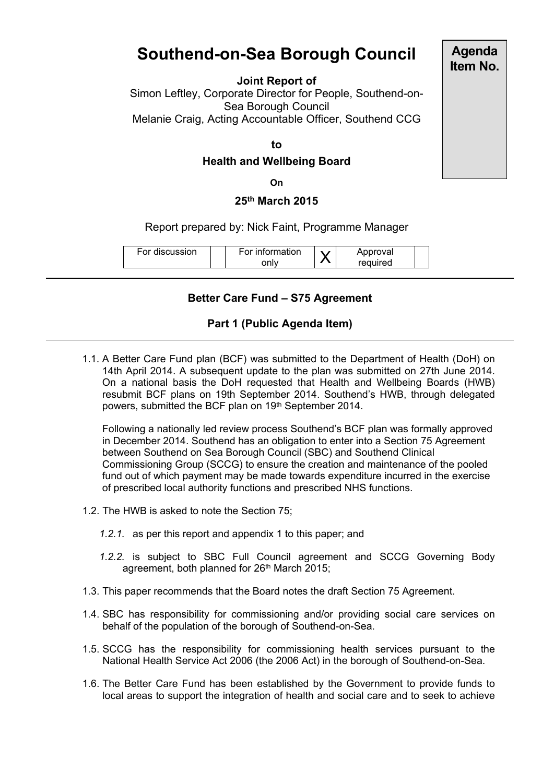# **Southend-on-Sea Borough Council**

#### **Joint Report of**

Simon Leftley, Corporate Director for People, Southend-on-Sea Borough Council Melanie Craig, Acting Accountable Officer, Southend CCG

#### **to**

#### **Health and Wellbeing Board**

**On**

### **25th March 2015**

#### Report prepared by: Nick Faint, Programme Manager

### **Better Care Fund – S75 Agreement**

## **Part 1 (Public Agenda Item)**

1.1. A Better Care Fund plan (BCF) was submitted to the Department of Health (DoH) on 14th April 2014. A subsequent update to the plan was submitted on 27th June 2014. On a national basis the DoH requested that Health and Wellbeing Boards (HWB) resubmit BCF plans on 19th September 2014. Southend's HWB, through delegated powers, submitted the BCF plan on 19<sup>th</sup> September 2014.

Following a nationally led review process Southend's BCF plan was formally approved in December 2014. Southend has an obligation to enter into a Section 75 Agreement between Southend on Sea Borough Council (SBC) and Southend Clinical Commissioning Group (SCCG) to ensure the creation and maintenance of the pooled fund out of which payment may be made towards expenditure incurred in the exercise of prescribed local authority functions and prescribed NHS functions.

- 1.2. The HWB is asked to note the Section 75;
	- *1.2.1.* as per this report and appendix 1 to this paper; and
	- *1.2.2.* is subject to SBC Full Council agreement and SCCG Governing Body agreement, both planned for 26<sup>th</sup> March 2015;
- 1.3. This paper recommends that the Board notes the draft Section 75 Agreement.
- 1.4. SBC has responsibility for commissioning and/or providing social care services on behalf of the population of the borough of Southend-on-Sea.
- 1.5. SCCG has the responsibility for commissioning health services pursuant to the National Health Service Act 2006 (the 2006 Act) in the borough of Southend-on-Sea.
- 1.6. The Better Care Fund has been established by the Government to provide funds to local areas to support the integration of health and social care and to seek to achieve

**Agenda Item No.**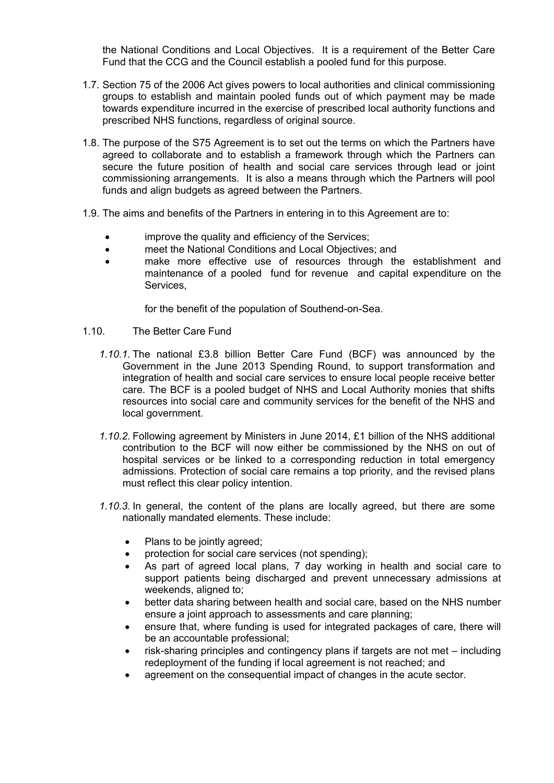the National Conditions and Local Objectives. It is a requirement of the Better Care Fund that the CCG and the Council establish a pooled fund for this purpose.

- 1.7. Section 75 of the 2006 Act gives powers to local authorities and clinical commissioning groups to establish and maintain pooled funds out of which payment may be made towards expenditure incurred in the exercise of prescribed local authority functions and prescribed NHS functions, regardless of original source.
- 1.8. The purpose of the S75 Agreement is to set out the terms on which the Partners have agreed to collaborate and to establish a framework through which the Partners can secure the future position of health and social care services through lead or joint commissioning arrangements. It is also a means through which the Partners will pool funds and align budgets as agreed between the Partners.
- 1.9. The aims and benefits of the Partners in entering in to this Agreement are to:
	- improve the quality and efficiency of the Services;
	- meet the National Conditions and Local Objectives; and
	- make more effective use of resources through the establishment and maintenance of a pooled fund for revenue and capital expenditure on the Services,

for the benefit of the population of Southend-on-Sea.

- 1.10. The Better Care Fund
	- *1.10.1.* The national £3.8 billion Better Care Fund (BCF) was announced by the Government in the June 2013 Spending Round, to support transformation and integration of health and social care services to ensure local people receive better care. The BCF is a pooled budget of NHS and Local Authority monies that shifts resources into social care and community services for the benefit of the NHS and local government.
	- *1.10.2.* Following agreement by Ministers in June 2014, £1 billion of the NHS additional contribution to the BCF will now either be commissioned by the NHS on out of hospital services or be linked to a corresponding reduction in total emergency admissions. Protection of social care remains a top priority, and the revised plans must reflect this clear policy intention.
	- *1.10.3.* In general, the content of the plans are locally agreed, but there are some nationally mandated elements. These include:
		- Plans to be jointly agreed;
		- protection for social care services (not spending);
		- As part of agreed local plans, 7 day working in health and social care to support patients being discharged and prevent unnecessary admissions at weekends, aligned to;
		- better data sharing between health and social care, based on the NHS number ensure a joint approach to assessments and care planning;
		- ensure that, where funding is used for integrated packages of care, there will be an accountable professional;
		- risk-sharing principles and contingency plans if targets are not met including redeployment of the funding if local agreement is not reached; and
		- agreement on the consequential impact of changes in the acute sector.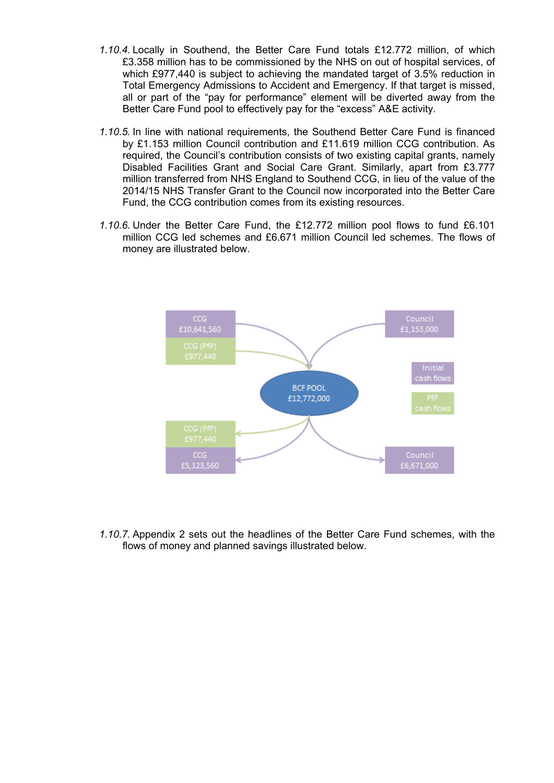- *1.10.4.* Locally in Southend, the Better Care Fund totals £12.772 million, of which £3.358 million has to be commissioned by the NHS on out of hospital services, of which £977,440 is subject to achieving the mandated target of 3.5% reduction in Total Emergency Admissions to Accident and Emergency. If that target is missed, all or part of the "pay for performance" element will be diverted away from the Better Care Fund pool to effectively pay for the "excess" A&E activity.
- *1.10.5.* In line with national requirements, the Southend Better Care Fund is financed by £1.153 million Council contribution and £11.619 million CCG contribution. As required, the Council's contribution consists of two existing capital grants, namely Disabled Facilities Grant and Social Care Grant. Similarly, apart from £3.777 million transferred from NHS England to Southend CCG, in lieu of the value of the 2014/15 NHS Transfer Grant to the Council now incorporated into the Better Care Fund, the CCG contribution comes from its existing resources.
- *1.10.6.* Under the Better Care Fund, the £12.772 million pool flows to fund £6.101 million CCG led schemes and £6.671 million Council led schemes. The flows of money are illustrated below.



*1.10.7.* Appendix 2 sets out the headlines of the Better Care Fund schemes, with the flows of money and planned savings illustrated below.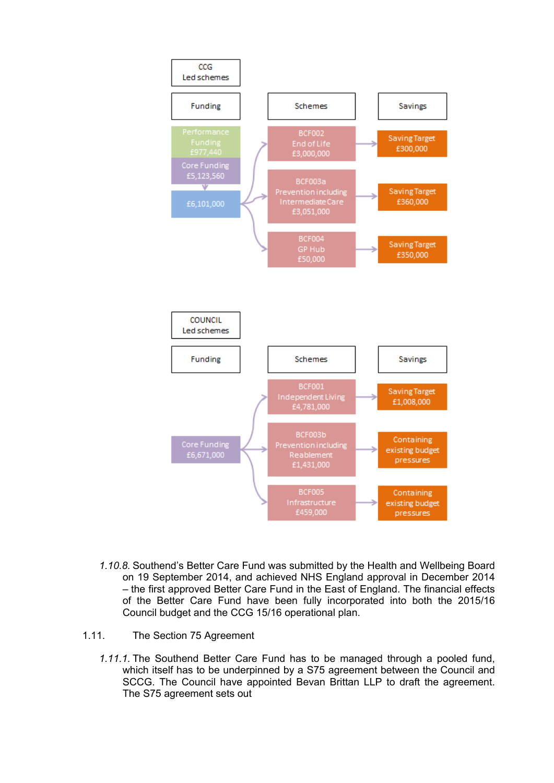

- *1.10.8.* Southend's Better Care Fund was submitted by the Health and Wellbeing Board on 19 September 2014, and achieved NHS England approval in December 2014 – the first approved Better Care Fund in the East of England. The financial effects of the Better Care Fund have been fully incorporated into both the 2015/16 Council budget and the CCG 15/16 operational plan.
- 1.11. The Section 75 Agreement
	- *1.11.1.* The Southend Better Care Fund has to be managed through a pooled fund, which itself has to be underpinned by a S75 agreement between the Council and SCCG. The Council have appointed Bevan Brittan LLP to draft the agreement. The S75 agreement sets out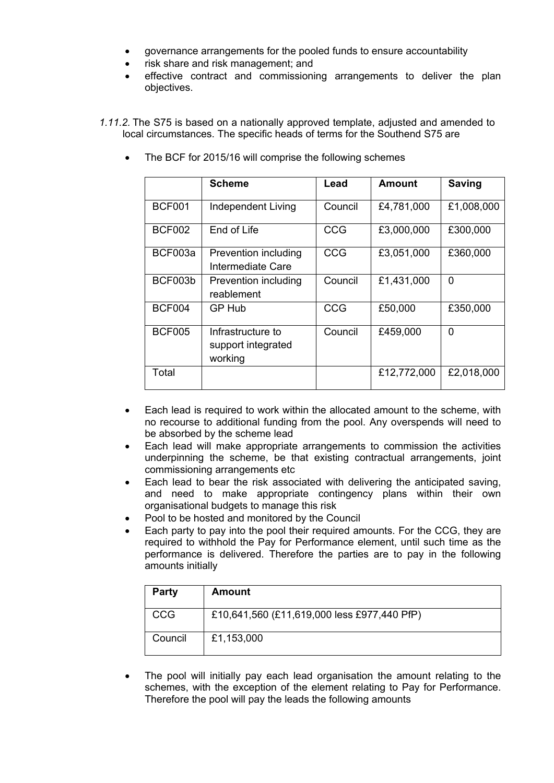- governance arrangements for the pooled funds to ensure accountability
- risk share and risk management; and
- effective contract and commissioning arrangements to deliver the plan objectives.
- *1.11.2.* The S75 is based on a nationally approved template, adjusted and amended to local circumstances. The specific heads of terms for the Southend S75 are
	- **Scheme Lead Amount Saving** BCF001 | Independent Living | Council | £4,781,000 | £1,008,000 BCF002 End of Life CCG £3,000,000 £300,000 BCF003a Prevention including Intermediate Care CCG £3,051,000 £360,000 BCF003b Prevention including reablement Council  $\left| \right. 21,431,000 \left| \right. 0$ BCF004 GP Hub CCG £50,000 £350,000 BCF005 | Infrastructure to support integrated working Council  $\left| \right.$  £459,000  $\left| \right|$  0 Total £12,772,000 £2,018,000
	- The BCF for 2015/16 will comprise the following schemes

- Each lead is required to work within the allocated amount to the scheme, with no recourse to additional funding from the pool. Any overspends will need to be absorbed by the scheme lead
- Each lead will make appropriate arrangements to commission the activities underpinning the scheme, be that existing contractual arrangements, joint commissioning arrangements etc
- Each lead to bear the risk associated with delivering the anticipated saving, and need to make appropriate contingency plans within their own organisational budgets to manage this risk
- Pool to be hosted and monitored by the Council
- Each party to pay into the pool their required amounts. For the CCG, they are required to withhold the Pay for Performance element, until such time as the performance is delivered. Therefore the parties are to pay in the following amounts initially

| <b>Party</b> | <b>Amount</b>                               |
|--------------|---------------------------------------------|
| <b>CCG</b>   | £10,641,560 (£11,619,000 less £977,440 PfP) |
| Council      | £1,153,000                                  |

 The pool will initially pay each lead organisation the amount relating to the schemes, with the exception of the element relating to Pay for Performance. Therefore the pool will pay the leads the following amounts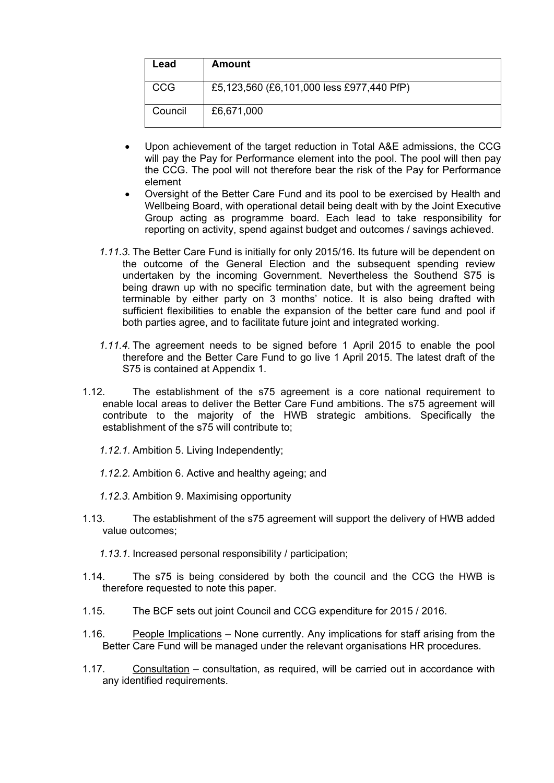| Lead       | Amount                                    |
|------------|-------------------------------------------|
| <b>CCG</b> | £5,123,560 (£6,101,000 less £977,440 PfP) |
| Council    | £6,671,000                                |

- Upon achievement of the target reduction in Total A&E admissions, the CCG will pay the Pay for Performance element into the pool. The pool will then pay the CCG. The pool will not therefore bear the risk of the Pay for Performance element
- Oversight of the Better Care Fund and its pool to be exercised by Health and Wellbeing Board, with operational detail being dealt with by the Joint Executive Group acting as programme board. Each lead to take responsibility for reporting on activity, spend against budget and outcomes / savings achieved.
- *1.11.3.* The Better Care Fund is initially for only 2015/16. Its future will be dependent on the outcome of the General Election and the subsequent spending review undertaken by the incoming Government. Nevertheless the Southend S75 is being drawn up with no specific termination date, but with the agreement being terminable by either party on 3 months' notice. It is also being drafted with sufficient flexibilities to enable the expansion of the better care fund and pool if both parties agree, and to facilitate future joint and integrated working.
- *1.11.4.* The agreement needs to be signed before 1 April 2015 to enable the pool therefore and the Better Care Fund to go live 1 April 2015. The latest draft of the S75 is contained at Appendix 1.
- 1.12. The establishment of the s75 agreement is a core national requirement to enable local areas to deliver the Better Care Fund ambitions. The s75 agreement will contribute to the majority of the HWB strategic ambitions. Specifically the establishment of the s75 will contribute to;
	- *1.12.1.* Ambition 5. Living Independently;
	- *1.12.2.* Ambition 6. Active and healthy ageing; and
	- *1.12.3.* Ambition 9. Maximising opportunity
- 1.13. The establishment of the s75 agreement will support the delivery of HWB added value outcomes;
	- *1.13.1.* Increased personal responsibility / participation;
- 1.14. The s75 is being considered by both the council and the CCG the HWB is therefore requested to note this paper.
- 1.15. The BCF sets out joint Council and CCG expenditure for 2015 / 2016.
- 1.16. People Implications None currently. Any implications for staff arising from the Better Care Fund will be managed under the relevant organisations HR procedures.
- 1.17. Consultation consultation, as required, will be carried out in accordance with any identified requirements.